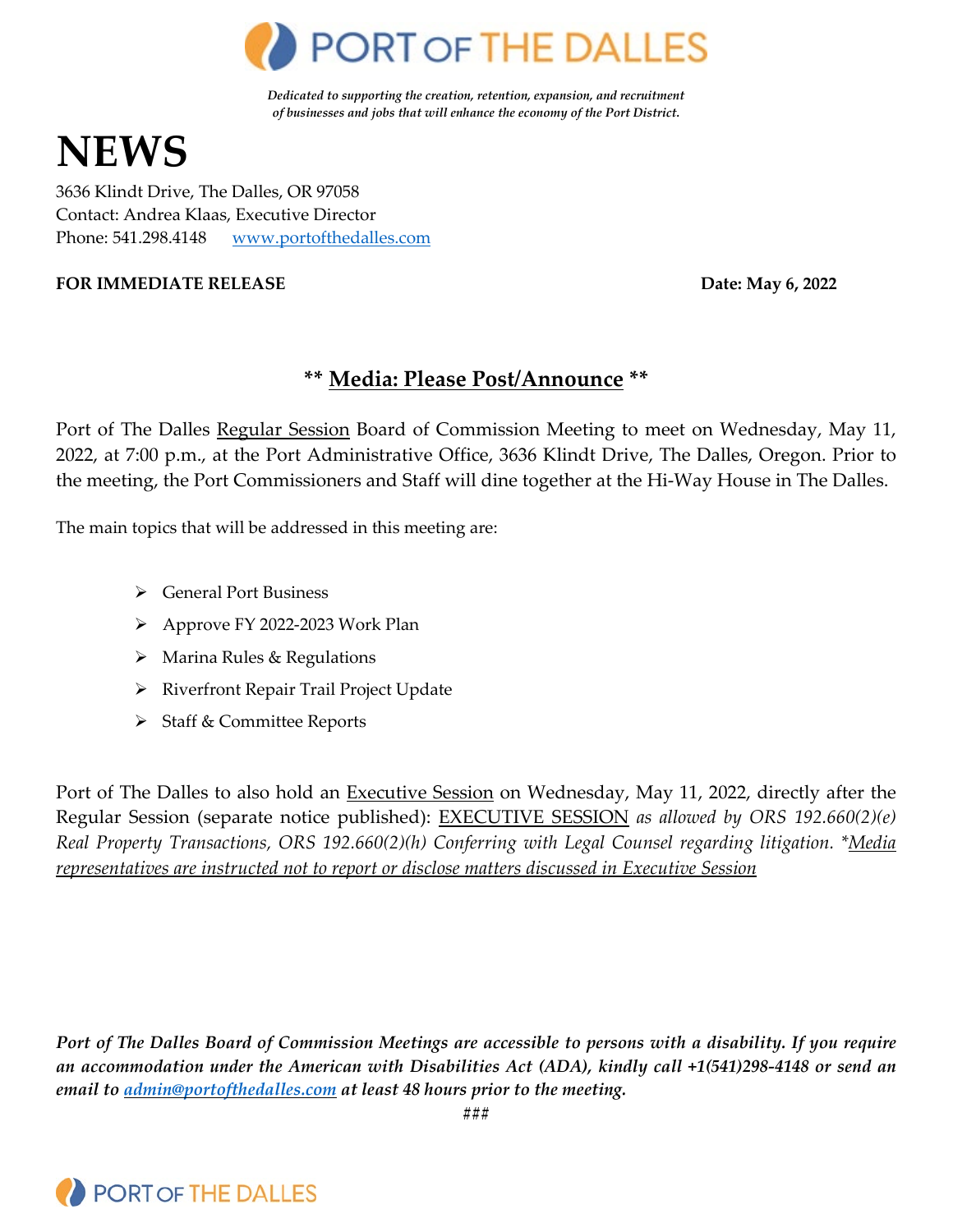

*Dedicated to supporting the creation, retention, expansion, and recruitment of businesses and jobs that will enhance the economy of the Port District.*

# **NEWS**

3636 Klindt Drive, The Dalles, OR 97058 Contact: Andrea Klaas, Executive Director Phone: 541.298.4148 [www.portofthedalles.com](http://www.portofthedalles.com/)

#### **FOR IMMEDIATE RELEASE Date: May 6, 2022**

# **\*\* Media: Please Post/Announce \*\***

Port of The Dalles Regular Session Board of Commission Meeting to meet on Wednesday, May 11, 2022, at 7:00 p.m., at the Port Administrative Office, 3636 Klindt Drive, The Dalles, Oregon. Prior to the meeting, the Port Commissioners and Staff will dine together at the Hi-Way House in The Dalles.

The main topics that will be addressed in this meeting are:

- General Port Business
- Approve FY 2022-2023 Work Plan
- $\triangleright$  Marina Rules & Regulations
- > Riverfront Repair Trail Project Update
- $\triangleright$  Staff & Committee Reports

Port of The Dalles to also hold an Executive Session on Wednesday, May 11, 2022, directly after the Regular Session (separate notice published): EXECUTIVE SESSION *as allowed by ORS 192.660(2)(e) Real Property Transactions, ORS 192.660(2)(h) Conferring with Legal Counsel regarding litigation. \*Media representatives are instructed not to report or disclose matters discussed in Executive Session*

*Port of The Dalles Board of Commission Meetings are accessible to persons with a disability. If you require an accommodation under the American with Disabilities Act (ADA), kindly call +1(541)298-4148 or send an email to [admin@portofthedalles.com](mailto:admin@portofthedalles.com) at least 48 hours prior to the meeting.*